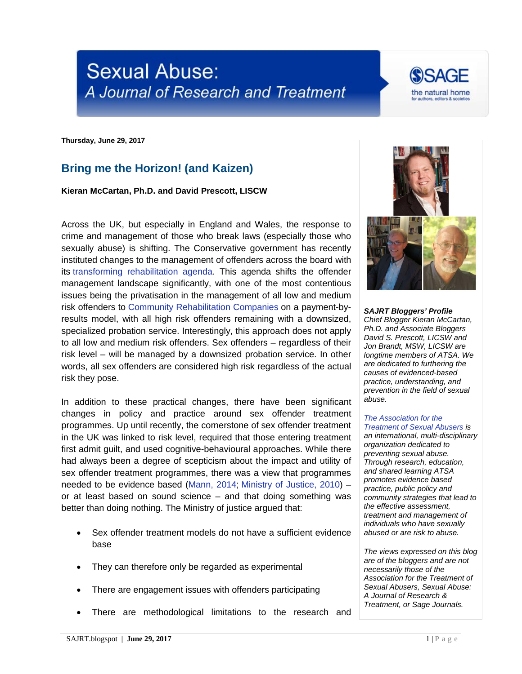## **Sexual Abuse:** A Journal of Research and Treatment



**Thursday, June 29, 2017**

## **Bring me the Horizon! (and Kaizen)**

**Kieran McCartan, Ph.D. and David Prescott, LISCW**

Across the UK, but especially in England and Wales, the response to crime and management of those who break laws (especially those who sexually abuse) is shifting. The Conservative government has recently instituted changes to the management of offenders across the board with its [transforming rehabilitation agenda.](https://consult.justice.gov.uk/digital-communications/transforming-rehabilitation/results/transforming-rehabilitation-response.pdf) This agenda shifts the offender management landscape significantly, with one of the most contentious issues being the privatisation in the management of all low and medium risk offenders to [Community Rehabilitation Companies](https://www.gov.uk/government/publications/community-rehabilitation-company-england-and-wales-area-map) on a payment-byresults model, with all high risk offenders remaining with a downsized, specialized probation service. Interestingly, this approach does not apply to all low and medium risk offenders. Sex offenders – regardless of their risk level – will be managed by a downsized probation service. In other words, all sex offenders are considered high risk regardless of the actual risk they pose.

In addition to these practical changes, there have been significant changes in policy and practice around sex offender treatment programmes. Up until recently, the cornerstone of sex offender treatment in the UK was linked to risk level, required that those entering treatment first admit guilt, and used cognitive-behavioural approaches. While there had always been a degree of scepticism about the impact and utility of sex offender treatment programmes, there was a view that programmes needed to be evidence based [\(Mann, 2014;](http://www1.uwe.ac.uk/hls/research/offenderengagement/visitingscholarships/evidencebasedpolicy.aspx) [Ministry of Justice, 2010\)](https://www.swmcrc.co.uk/wp-content/uploads/2010/06/what-works-sex-offender-treatment.pdf) – or at least based on sound science – and that doing something was better than doing nothing. The Ministry of justice argued that:

- Sex offender treatment models do not have a sufficient evidence base
- They can therefore only be regarded as experimental
- There are engagement issues with offenders participating
- There are methodological limitations to the research and



*SAJRT Bloggers' Profile Chief Blogger Kieran McCartan, Ph.D. and Associate Bloggers David S. Prescott, LICSW and Jon Brandt, MSW, LICSW are longtime members of ATSA. We are dedicated to furthering the causes of evidenced-based practice, understanding, and prevention in the field of sexual abuse.*

## *[The Association for the](http://atsa.com/)  [Treatment of Sexual Abusers](http://atsa.com/) is*

*an international, multi-disciplinary organization dedicated to preventing sexual abuse. Through research, education, and shared learning ATSA promotes evidence based practice, public policy and community strategies that lead to the effective assessment, treatment and management of individuals who have sexually abused or are risk to abuse.* 

*The views expressed on this blog are of the bloggers and are not necessarily those of the Association for the Treatment of Sexual Abusers, Sexual Abuse: A Journal of Research & Treatment, or Sage Journals.*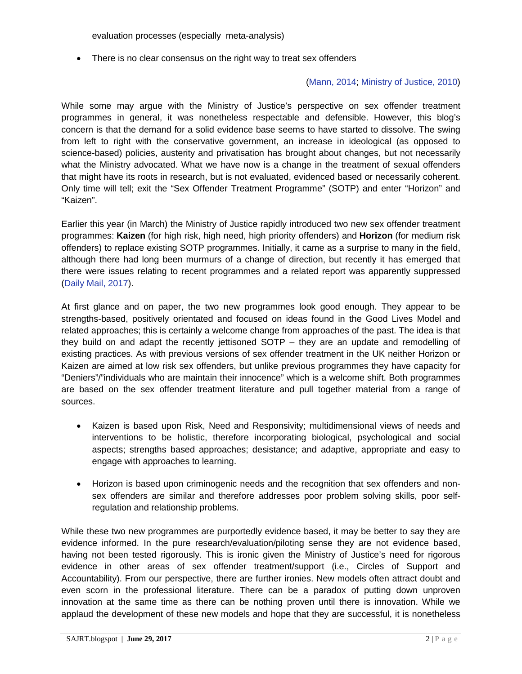evaluation processes (especially meta-analysis)

• There is no clear consensus on the right way to treat sex offenders

## [\(Mann, 2014;](http://www1.uwe.ac.uk/hls/research/offenderengagement/visitingscholarships/evidencebasedpolicy.aspx) [Ministry of Justice, 2010\)](https://www.swmcrc.co.uk/wp-content/uploads/2010/06/what-works-sex-offender-treatment.pdf)

While some may argue with the Ministry of Justice's perspective on sex offender treatment programmes in general, it was nonetheless respectable and defensible. However, this blog's concern is that the demand for a solid evidence base seems to have started to dissolve. The swing from left to right with the conservative government, an increase in ideological (as opposed to science-based) policies, austerity and privatisation has brought about changes, but not necessarily what the Ministry advocated. What we have now is a change in the treatment of sexual offenders that might have its roots in research, but is not evaluated, evidenced based or necessarily coherent. Only time will tell; exit the "Sex Offender Treatment Programme" (SOTP) and enter "Horizon" and "Kaizen".

Earlier this year (in March) the Ministry of Justice rapidly introduced two new sex offender treatment programmes: **Kaizen** (for high risk, high need, high priority offenders) and **Horizon** (for medium risk offenders) to replace existing SOTP programmes. Initially, it came as a surprise to many in the field, although there had long been murmurs of a change of direction, but recently it has emerged that there were issues relating to recent programmes and a related report was apparently suppressed [\(Daily Mail, 2017\)](http://www.dailymail.co.uk/news/article-4635876/Scandal-100million-sex-crime-cure-hubs.html).

At first glance and on paper, the two new programmes look good enough. They appear to be strengths-based, positively orientated and focused on ideas found in the Good Lives Model and related approaches; this is certainly a welcome change from approaches of the past. The idea is that they build on and adapt the recently jettisoned SOTP – they are an update and remodelling of existing practices. As with previous versions of sex offender treatment in the UK neither Horizon or Kaizen are aimed at low risk sex offenders, but unlike previous programmes they have capacity for "Deniers"/"individuals who are maintain their innocence" which is a welcome shift. Both programmes are based on the sex offender treatment literature and pull together material from a range of sources.

- Kaizen is based upon Risk, Need and Responsivity; multidimensional views of needs and interventions to be holistic, therefore incorporating biological, psychological and social aspects; strengths based approaches; desistance; and adaptive, appropriate and easy to engage with approaches to learning.
- Horizon is based upon criminogenic needs and the recognition that sex offenders and nonsex offenders are similar and therefore addresses poor problem solving skills, poor selfregulation and relationship problems.

While these two new programmes are purportedly evidence based, it may be better to say they are evidence informed. In the pure research/evaluation/piloting sense they are not evidence based, having not been tested rigorously. This is ironic given the Ministry of Justice's need for rigorous evidence in other areas of sex offender treatment/support (i.e., Circles of Support and Accountability). From our perspective, there are further ironies. New models often attract doubt and even scorn in the professional literature. There can be a paradox of putting down unproven innovation at the same time as there can be nothing proven until there is innovation. While we applaud the development of these new models and hope that they are successful, it is nonetheless